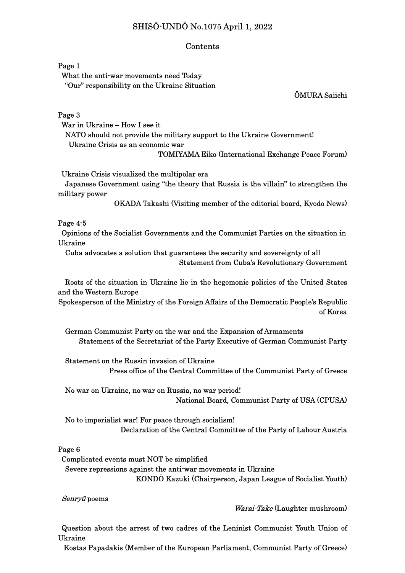# SHISŌ-UNDŌ No.1075 April 1, 2022

### Contents

Page 1

 What the anti-war movements need Today "Our" responsibility on the Ukraine Situation

ŌMURA Saiichi

Page 3

 War in Ukraine – How I see it NATO should not provide the military support to the Ukraine Government! Ukraine Crisis as an economic war

TOMIYAMA Eiko (International Exchange Peace Forum)

Ukraine Crisis visualized the multipolar era

 Japanese Government using "the theory that Russia is the villain" to strengthen the military power

OKADA Takashi (Visiting member of the editorial board, Kyodo News)

Page 4-5

 Opinions of the Socialist Governments and the Communist Parties on the situation in Ukraine

Cuba advocates a solution that guarantees the security and sovereignty of all Statement from Cuba's Revolutionary Government

 Roots of the situation in Ukraine lie in the hegemonic policies of the United States and the Western Europe

Spokesperson of the Ministry of the Foreign Affairs of the Democratic People's Republic of Korea

German Communist Party on the war and the Expansion of Armaments Statement of the Secretariat of the Party Executive of German Communist Party

 Statement on the Russin invasion of Ukraine Press office of the Central Committee of the Communist Party of Greece

 No war on Ukraine, no war on Russia, no war period! National Board, Communist Party of USA (CPUSA)

No to imperialist war! For peace through socialism! Declaration of the Central Committee of the Party of Labour Austria

#### Page 6

 Complicated events must NOT be simplified Severe repressions against the anti-war movements in Ukraine KONDŌ Kazuki (Chairperson, Japan League of Socialist Youth)

Senryū poems

#### Warai-Take (Laughter mushroom)

Question about the arrest of two cadres of the Leninist Communist Youth Union of Ukraine

Kostas Papadakis (Member of the European Parliament, Communist Party of Greece)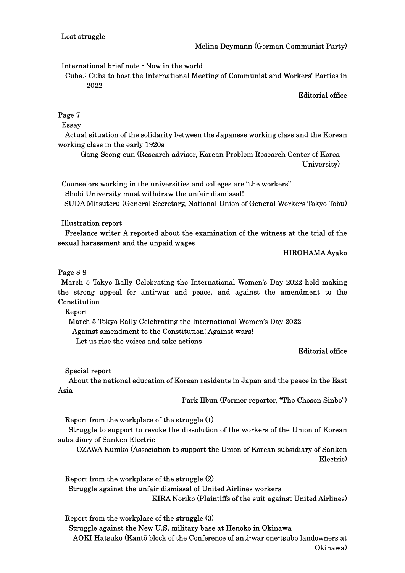International brief note - Now in the world

 Cuba.: Cuba to host the International Meeting of Communist and Workers' Parties in 2022

Editorial office

# Page 7

Essay

 Actual situation of the solidarity between the Japanese working class and the Korean working class in the early 1920s

Gang Seong-eun (Research advisor, Korean Problem Research Center of Korea University)

 Counselors working in the universities and colleges are "the workers" Shobi University must withdraw the unfair dismissal! SUDA Mitsuteru (General Secretary, National Union of General Workers Tokyo Tobu)

# Illustration report

Freelance writer A reported about the examination of the witness at the trial of the sexual harassment and the unpaid wages

## HIROHAMA Ayako

# Page 8-9

March 5 Tokyo Rally Celebrating the International Women's Day 2022 held making the strong appeal for anti-war and peace, and against the amendment to the **Constitution** 

Report

 March 5 Tokyo Rally Celebrating the International Women's Day 2022 Against amendment to the Constitution! Against wars! Let us rise the voices and take actions

Editorial office

Special report

 About the national education of Korean residents in Japan and the peace in the East Asia

Park Ilbun (Former reporter, "The Choson Sinbo")

Report from the workplace of the struggle (1)

 Struggle to support to revoke the dissolution of the workers of the Union of Korean subsidiary of Sanken Electric

OZAWA Kuniko (Association to support the Union of Korean subsidiary of Sanken Electric)

Report from the workplace of the struggle (2) Struggle against the unfair dismissal of United Airlines workers KIRA Noriko (Plaintiffs of the suit against United Airlines)

Report from the workplace of the struggle (3) Struggle against the New U.S. military base at Henoko in Okinawa AOKI Hatsuko (Kantō block of the Conference of anti-war one-tsubo landowners at Okinawa)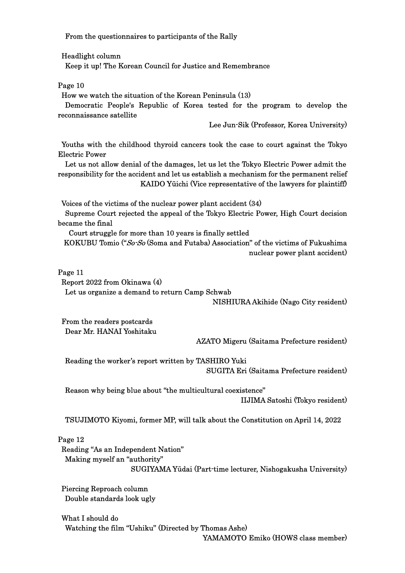From the questionnaires to participants of the Rally

Headlight column

Keep it up! The Korean Council for Justice and Remembrance

Page 10

How we watch the situation of the Korean Peninsula (13)

 Democratic People's Republic of Korea tested for the program to develop the reconnaissance satellite

Lee Jun-Sik (Professor, Korea University)

Youths with the childhood thyroid cancers took the case to court against the Tokyo Electric Power

 Let us not allow denial of the damages, let us let the Tokyo Electric Power admit the responsibility for the accident and let us establish a mechanism for the permanent relief KAIDO Yūichi (Vice representative of the lawyers for plaintiff)

Voices of the victims of the nuclear power plant accident (34)

 Supreme Court rejected the appeal of the Tokyo Electric Power, High Court decision became the final

Court struggle for more than 10 years is finally settled

KOKUBU Tomio ("So-So (Soma and Futaba) Association" of the victims of Fukushima nuclear power plant accident)

Page 11

Report 2022 from Okinawa (4)

Let us organize a demand to return Camp Schwab

NISHIURA Akihide (Nago City resident)

From the readers postcards Dear Mr. HANAI Yoshitaku

AZATO Migeru (Saitama Prefecture resident)

Reading the worker's report written by TASHIRO Yuki SUGITA Eri (Saitama Prefecture resident)

 Reason why being blue about "the multicultural coexistence" IIJIMA Satoshi (Tokyo resident)

TSUJIMOTO Kiyomi, former MP, will talk about the Constitution on April 14, 2022

Page 12

Reading "As an Independent Nation" Making myself an "authority" SUGIYAMA Yūdai (Part-time lecturer, Nishogakusha University)

Piercing Reproach column Double standards look ugly

 What I should do Watching the film "Ushiku" (Directed by Thomas Ashe)

YAMAMOTO Emiko (HOWS class member)